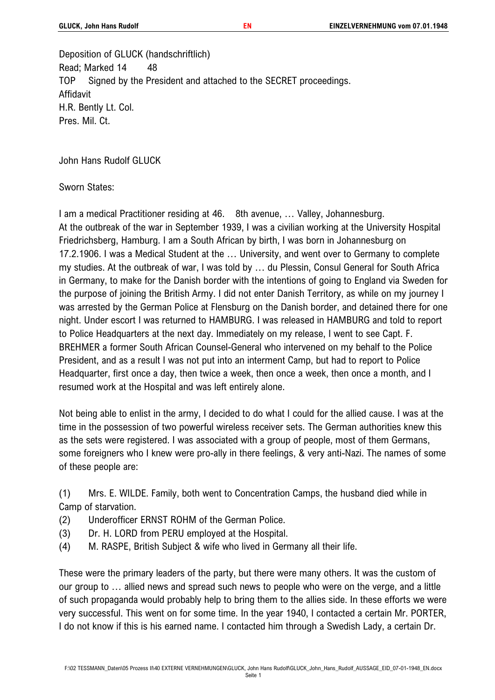Deposition of GLUCK (handschriftlich) Read; Marked 14 48 TOP Signed by the President and attached to the SECRET proceedings. Affidavit H.R. Bently Lt. Col. Pres. Mil. Ct.

John Hans Rudolf GLUCK

Sworn States:

I am a medical Practitioner residing at 46. 8th avenue, … Valley, Johannesburg. At the outbreak of the war in September 1939, I was a civilian working at the University Hospital Friedrichsberg, Hamburg. I am a South African by birth, I was born in Johannesburg on 17.2.1906. I was a Medical Student at the … University, and went over to Germany to complete my studies. At the outbreak of war, I was told by … du Plessin, Consul General for South Africa in Germany, to make for the Danish border with the intentions of going to England via Sweden for the purpose of joining the British Army. I did not enter Danish Territory, as while on my journey I was arrested by the German Police at Flensburg on the Danish border, and detained there for one night. Under escort I was returned to HAMBURG. I was released in HAMBURG and told to report to Police Headquarters at the next day. Immediately on my release, I went to see Capt. F. BREHMER a former South African Counsel-General who intervened on my behalf to the Police President, and as a result I was not put into an interment Camp, but had to report to Police Headquarter, first once a day, then twice a week, then once a week, then once a month, and I resumed work at the Hospital and was left entirely alone.

Not being able to enlist in the army, I decided to do what I could for the allied cause. I was at the time in the possession of two powerful wireless receiver sets. The German authorities knew this as the sets were registered. I was associated with a group of people, most of them Germans, some foreigners who I knew were pro-ally in there feelings, & very anti-Nazi. The names of some of these people are:

(1) Mrs. E. WILDE. Family, both went to Concentration Camps, the husband died while in Camp of starvation.

- (2) Underofficer ERNST ROHM of the German Police.
- (3) Dr. H. LORD from PERU employed at the Hospital.
- (4) M. RASPE, British Subject & wife who lived in Germany all their life.

These were the primary leaders of the party, but there were many others. It was the custom of our group to … allied news and spread such news to people who were on the verge, and a little of such propaganda would probably help to bring them to the allies side. In these efforts we were very successful. This went on for some time. In the year 1940, I contacted a certain Mr. PORTER, I do not know if this is his earned name. I contacted him through a Swedish Lady, a certain Dr.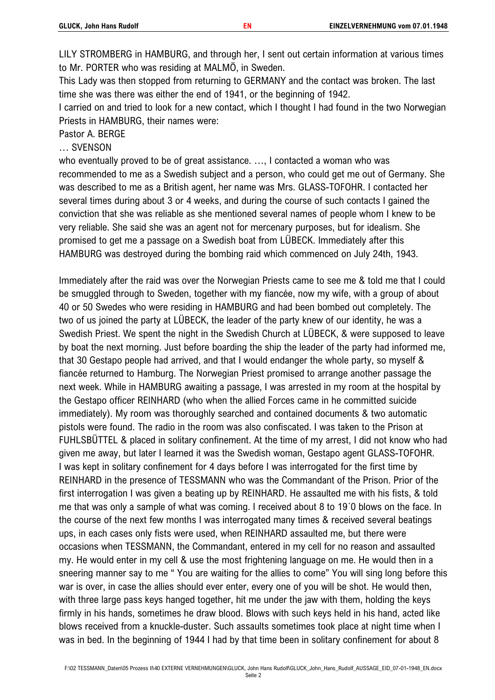LILY STROMBERG in HAMBURG, and through her, I sent out certain information at various times to Mr. PORTER who was residing at MALMÖ, in Sweden.

This Lady was then stopped from returning to GERMANY and the contact was broken. The last time she was there was either the end of 1941, or the beginning of 1942.

I carried on and tried to look for a new contact, which I thought I had found in the two Norwegian Priests in HAMBURG, their names were:

Pastor A. BERGE

… SVENSON

who eventually proved to be of great assistance. …, I contacted a woman who was recommended to me as a Swedish subject and a person, who could get me out of Germany. She was described to me as a British agent, her name was Mrs. GLASS-TOFOHR. I contacted her several times during about 3 or 4 weeks, and during the course of such contacts I gained the conviction that she was reliable as she mentioned several names of people whom I knew to be very reliable. She said she was an agent not for mercenary purposes, but for idealism. She promised to get me a passage on a Swedish boat from LÜBECK. Immediately after this HAMBURG was destroyed during the bombing raid which commenced on July 24th, 1943.

Immediately after the raid was over the Norwegian Priests came to see me & told me that I could be smuggled through to Sweden, together with my fiancée, now my wife, with a group of about 40 or 50 Swedes who were residing in HAMBURG and had been bombed out completely. The two of us joined the party at LÜBECK, the leader of the party knew of our identity, he was a Swedish Priest. We spent the night in the Swedish Church at LÜBECK, & were supposed to leave by boat the next morning. Just before boarding the ship the leader of the party had informed me, that 30 Gestapo people had arrived, and that I would endanger the whole party, so myself & fiancée returned to Hamburg. The Norwegian Priest promised to arrange another passage the next week. While in HAMBURG awaiting a passage, I was arrested in my room at the hospital by the Gestapo officer REINHARD (who when the allied Forces came in he committed suicide immediately). My room was thoroughly searched and contained documents & two automatic pistols were found. The radio in the room was also confiscated. I was taken to the Prison at FUHLSBÜTTEL & placed in solitary confinement. At the time of my arrest, I did not know who had given me away, but later I learned it was the Swedish woman, Gestapo agent GLASS-TOFOHR. I was kept in solitary confinement for 4 days before I was interrogated for the first time by REINHARD in the presence of TESSMANN who was the Commandant of the Prison. Prior of the first interrogation I was given a beating up by REINHARD. He assaulted me with his fists, & told me that was only a sample of what was coming. I received about 8 to 19´0 blows on the face. In the course of the next few months I was interrogated many times & received several beatings ups, in each cases only fists were used, when REINHARD assaulted me, but there were occasions when TESSMANN, the Commandant, entered in my cell for no reason and assaulted my. He would enter in my cell & use the most frightening language on me. He would then in a sneering manner say to me " You are waiting for the allies to come" You will sing long before this war is over, in case the allies should ever enter, every one of you will be shot. He would then, with three large pass keys hanged together, hit me under the jaw with them, holding the keys firmly in his hands, sometimes he draw blood. Blows with such keys held in his hand, acted like blows received from a knuckle-duster. Such assaults sometimes took place at night time when I was in bed. In the beginning of 1944 I had by that time been in solitary confinement for about 8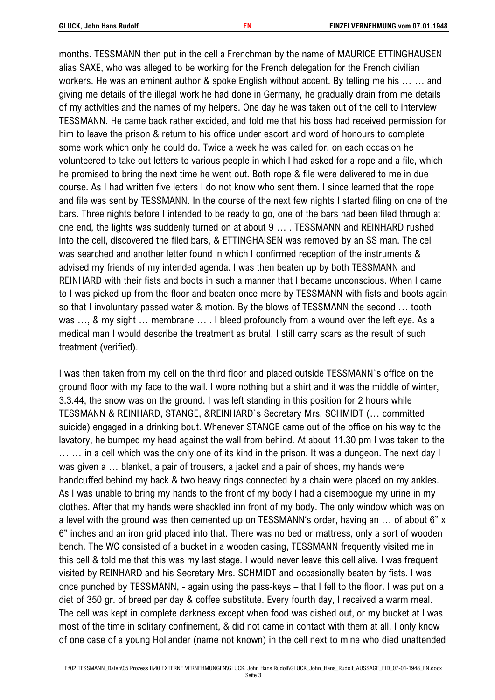months. TESSMANN then put in the cell a Frenchman by the name of MAURICE ETTINGHAUSEN alias SAXE, who was alleged to be working for the French delegation for the French civilian workers. He was an eminent author & spoke English without accent. By telling me his … … and giving me details of the illegal work he had done in Germany, he gradually drain from me details of my activities and the names of my helpers. One day he was taken out of the cell to interview TESSMANN. He came back rather excided, and told me that his boss had received permission for him to leave the prison & return to his office under escort and word of honours to complete some work which only he could do. Twice a week he was called for, on each occasion he volunteered to take out letters to various people in which I had asked for a rope and a file, which he promised to bring the next time he went out. Both rope & file were delivered to me in due course. As I had written five letters I do not know who sent them. I since learned that the rope and file was sent by TESSMANN. In the course of the next few nights I started filing on one of the bars. Three nights before I intended to be ready to go, one of the bars had been filed through at one end, the lights was suddenly turned on at about 9 … . TESSMANN and REINHARD rushed into the cell, discovered the filed bars, & ETTINGHAISEN was removed by an SS man. The cell was searched and another letter found in which I confirmed reception of the instruments & advised my friends of my intended agenda. I was then beaten up by both TESSMANN and REINHARD with their fists and boots in such a manner that I became unconscious. When I came to I was picked up from the floor and beaten once more by TESSMANN with fists and boots again so that I involuntary passed water & motion. By the blows of TESSMANN the second … tooth was ..., & my sight ... membrane ... . I bleed profoundly from a wound over the left eye. As a medical man I would describe the treatment as brutal, I still carry scars as the result of such treatment (verified).

I was then taken from my cell on the third floor and placed outside TESSMANN`s office on the ground floor with my face to the wall. I wore nothing but a shirt and it was the middle of winter, 3.3.44, the snow was on the ground. I was left standing in this position for 2 hours while TESSMANN & REINHARD, STANGE, &REINHARD`s Secretary Mrs. SCHMIDT (… committed suicide) engaged in a drinking bout. Whenever STANGE came out of the office on his way to the lavatory, he bumped my head against the wall from behind. At about 11.30 pm I was taken to the … … in a cell which was the only one of its kind in the prison. It was a dungeon. The next day I was given a … blanket, a pair of trousers, a jacket and a pair of shoes, my hands were handcuffed behind my back & two heavy rings connected by a chain were placed on my ankles. As I was unable to bring my hands to the front of my body I had a disembogue my urine in my clothes. After that my hands were shackled inn front of my body. The only window which was on a level with the ground was then cemented up on TESSMANN's order, having an … of about 6" x 6" inches and an iron grid placed into that. There was no bed or mattress, only a sort of wooden bench. The WC consisted of a bucket in a wooden casing, TESSMANN frequently visited me in this cell & told me that this was my last stage. I would never leave this cell alive. I was frequent visited by REINHARD and his Secretary Mrs. SCHMIDT and occasionally beaten by fists. I was once punched by TESSMANN, - again using the pass-keys – that I fell to the floor. I was put on a diet of 350 gr. of breed per day & coffee substitute. Every fourth day, I received a warm meal. The cell was kept in complete darkness except when food was dished out, or my bucket at I was most of the time in solitary confinement, & did not came in contact with them at all. I only know of one case of a young Hollander (name not known) in the cell next to mine who died unattended